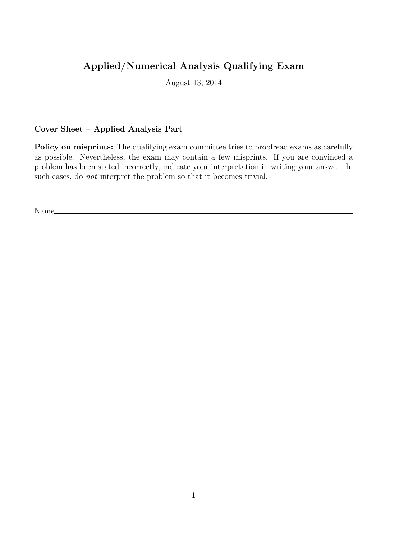## Applied/Numerical Analysis Qualifying Exam

August 13, 2014

## Cover Sheet – Applied Analysis Part

Policy on misprints: The qualifying exam committee tries to proofread exams as carefully as possible. Nevertheless, the exam may contain a few misprints. If you are convinced a problem has been stated incorrectly, indicate your interpretation in writing your answer. In such cases, do not interpret the problem so that it becomes trivial.

Name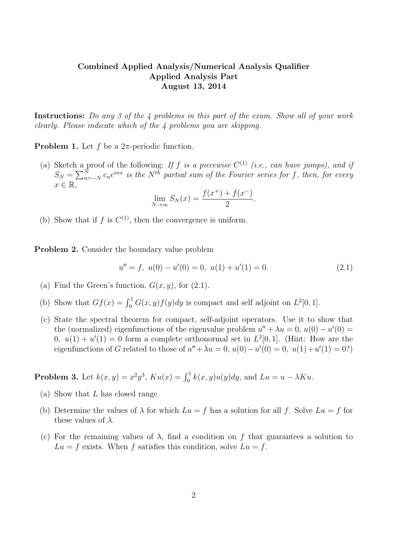## Combined Applied Analysis/Numerical Analysis Qualifier Applied Analysis Part August 13, 2014

Instructions: Do any 3 of the 4 problems in this part of the exam. Show all of your work clearly. Please indicate which of the 4 problems you are skipping.

**Problem 1.** Let f be a  $2\pi$ -periodic function.

(a) Sketch a proof of the following: If f is a piecewise  $C^{(1)}$  (i.e., can have jumps), and if  $S_N = \sum_{n=-N}^N c_n e^{inx}$  is the N<sup>th</sup> partial sum of the Fourier series for f, then, for every  $x \in \mathbb{R}$ ,

$$
\lim_{N \to \infty} S_N(x) = \frac{f(x^+) + f(x^-)}{2}.
$$

(b) Show that if f is  $C^{(1)}$ , then the convergence is uniform.

Problem 2. Consider the boundary value problem

$$
u'' = f, \ u(0) - u'(0) = 0, \ u(1) + u'(1) = 0. \tag{2.1}
$$

- (a) Find the Green's function,  $G(x, y)$ , for  $(2.1)$ .
- (b) Show that  $Gf(x) = \int_0^1 G(x, y)f(y)dy$  is compact and self adjoint on  $L^2[0, 1]$ .
- (c) State the spectral theorem for compact, self-adjoint operators. Use it to show that the (normalized) eigenfunctions of the eigenvalue problem  $u'' + \lambda u = 0$ ,  $u(0) - u'(0) =$ 0,  $u(1) + u'(1) = 0$  form a complete orthonormal set in  $L^2[0,1]$ . (Hint: How are the eigenfunctions of G related to those of  $u'' + \lambda u = 0$ ,  $u(0) - u'(0) = 0$ ,  $u(1) + u'(1) = 0$ ?)

**Problem 3.** Let  $k(x, y) = x^2y^3$ ,  $Ku(x) = \int_0^1 k(x, y)u(y)dy$ , and  $Lu = u - \lambda Ku$ .

- (a) Show that L has closed range.
- (b) Determine the values of  $\lambda$  for which  $Lu = f$  has a solution for all f. Solve  $Lu = f$  for these values of  $\lambda$ .
- (c) For the remaining values of  $\lambda$ , find a condition on f that guarantees a solution to  $Lu = f$  exists. When f satisfies this condition, solve  $Lu = f$ .